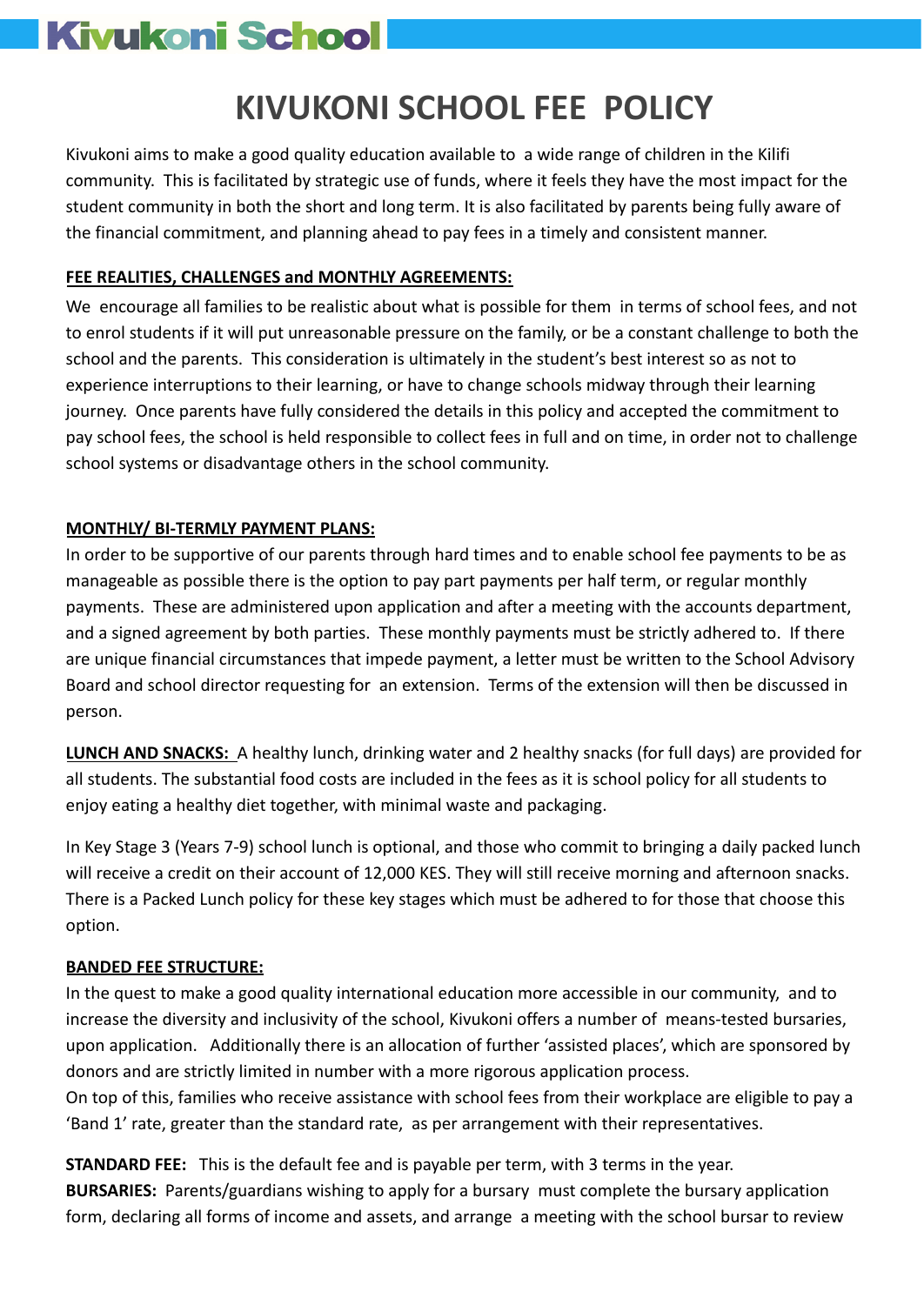# **Kivukoni School**

# **KIVUKONI SCHOOL FEE POLICY**

Kivukoni aims to make a good quality education available to a wide range of children in the Kilifi community. This is facilitated by strategic use of funds, where it feels they have the most impact for the student community in both the short and long term. It is also facilitated by parents being fully aware of the financial commitment, and planning ahead to pay fees in a timely and consistent manner.

# **FEE REALITIES, CHALLENGES and MONTHLY AGREEMENTS:**

We encourage all families to be realistic about what is possible for them in terms of school fees, and not to enrol students if it will put unreasonable pressure on the family, or be a constant challenge to both the school and the parents. This consideration is ultimately in the student's best interest so as not to experience interruptions to their learning, or have to change schools midway through their learning journey. Once parents have fully considered the details in this policy and accepted the commitment to pay school fees, the school is held responsible to collect fees in full and on time, in order not to challenge school systems or disadvantage others in the school community.

# **MONTHLY/ BI-TERMLY PAYMENT PLANS:**

In order to be supportive of our parents through hard times and to enable school fee payments to be as manageable as possible there is the option to pay part payments per half term, or regular monthly payments. These are administered upon application and after a meeting with the accounts department, and a signed agreement by both parties. These monthly payments must be strictly adhered to. If there are unique financial circumstances that impede payment, a letter must be written to the School Advisory Board and school director requesting for an extension. Terms of the extension will then be discussed in person.

**LUNCH AND SNACKS:** A healthy lunch, drinking water and 2 healthy snacks (for full days) are provided for all students. The substantial food costs are included in the fees as it is school policy for all students to enjoy eating a healthy diet together, with minimal waste and packaging.

In Key Stage 3 (Years 7-9) school lunch is optional, and those who commit to bringing a daily packed lunch will receive a credit on their account of 12,000 KES. They will still receive morning and afternoon snacks. There is a Packed Lunch policy for these key stages which must be adhered to for those that choose this option.

## **BANDED FEE STRUCTURE:**

In the quest to make a good quality international education more accessible in our community, and to increase the diversity and inclusivity of the school, Kivukoni offers a number of means-tested bursaries, upon application. Additionally there is an allocation of further 'assisted places', which are sponsored by donors and are strictly limited in number with a more rigorous application process.

On top of this, families who receive assistance with school fees from their workplace are eligible to pay a 'Band 1' rate, greater than the standard rate, as per arrangement with their representatives.

**STANDARD FEE:** This is the default fee and is payable per term, with 3 terms in the year. **BURSARIES:** Parents/guardians wishing to apply for a bursary must complete the bursary application form, declaring all forms of income and assets, and arrange a meeting with the school bursar to review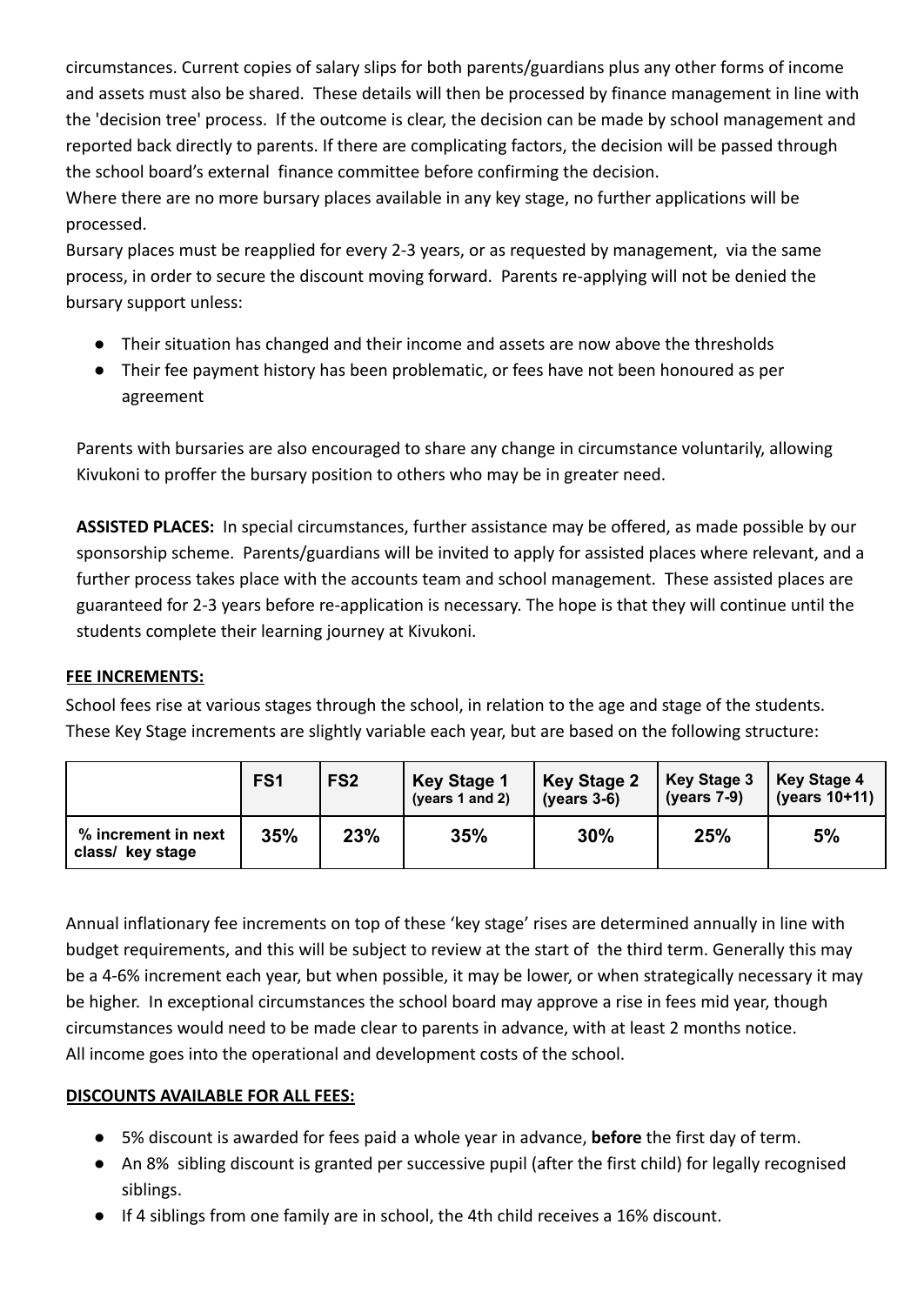circumstances. Current copies of salary slips for both parents/guardians plus any other forms of income and assets must also be shared. These details will then be processed by finance management in line with the 'decision tree' process. If the outcome is clear, the decision can be made by school management and reported back directly to parents. If there are complicating factors, the decision will be passed through the school board's external finance committee before confirming the decision.

Where there are no more bursary places available in any key stage, no further applications will be processed.

Bursary places must be reapplied for every 2-3 years, or as requested by management, via the same process, in order to secure the discount moving forward. Parents re-applying will not be denied the bursary support unless:

- Their situation has changed and their income and assets are now above the thresholds
- Their fee payment history has been problematic, or fees have not been honoured as per agreement

Parents with bursaries are also encouraged to share any change in circumstance voluntarily, allowing Kivukoni to proffer the bursary position to others who may be in greater need.

**ASSISTED PLACES:** In special circumstances, further assistance may be offered, as made possible by our sponsorship scheme. Parents/guardians will be invited to apply for assisted places where relevant, and a further process takes place with the accounts team and school management. These assisted places are guaranteed for 2-3 years before re-application is necessary. The hope is that they will continue until the students complete their learning journey at Kivukoni.

#### **FEE INCREMENTS:**

School fees rise at various stages through the school, in relation to the age and stage of the students. These Key Stage increments are slightly variable each year, but are based on the following structure:

|                                         | FS <sub>1</sub> | FS <sub>2</sub> | <b>Key Stage 1</b><br>(years 1 and 2) | Key Stage 2<br>(vears $3-6$ ) | <b>Key Stage 3</b><br>(years $7-9$ ) | <b>Key Stage 4</b><br>(years 10+11) |
|-----------------------------------------|-----------------|-----------------|---------------------------------------|-------------------------------|--------------------------------------|-------------------------------------|
| % increment in next<br>class/ key stage | 35%             | 23%             | 35%                                   | 30%                           | 25%                                  | 5%                                  |

Annual inflationary fee increments on top of these 'key stage' rises are determined annually in line with budget requirements, and this will be subject to review at the start of the third term. Generally this may be a 4-6% increment each year, but when possible, it may be lower, or when strategically necessary it may be higher. In exceptional circumstances the school board may approve a rise in fees mid year, though circumstances would need to be made clear to parents in advance, with at least 2 months notice. All income goes into the operational and development costs of the school.

#### **DISCOUNTS AVAILABLE FOR ALL FEES:**

- 5% discount is awarded for fees paid a whole year in advance, **before** the first day of term.
- An 8% sibling discount is granted per successive pupil (after the first child) for legally recognised siblings.
- If 4 siblings from one family are in school, the 4th child receives a 16% discount.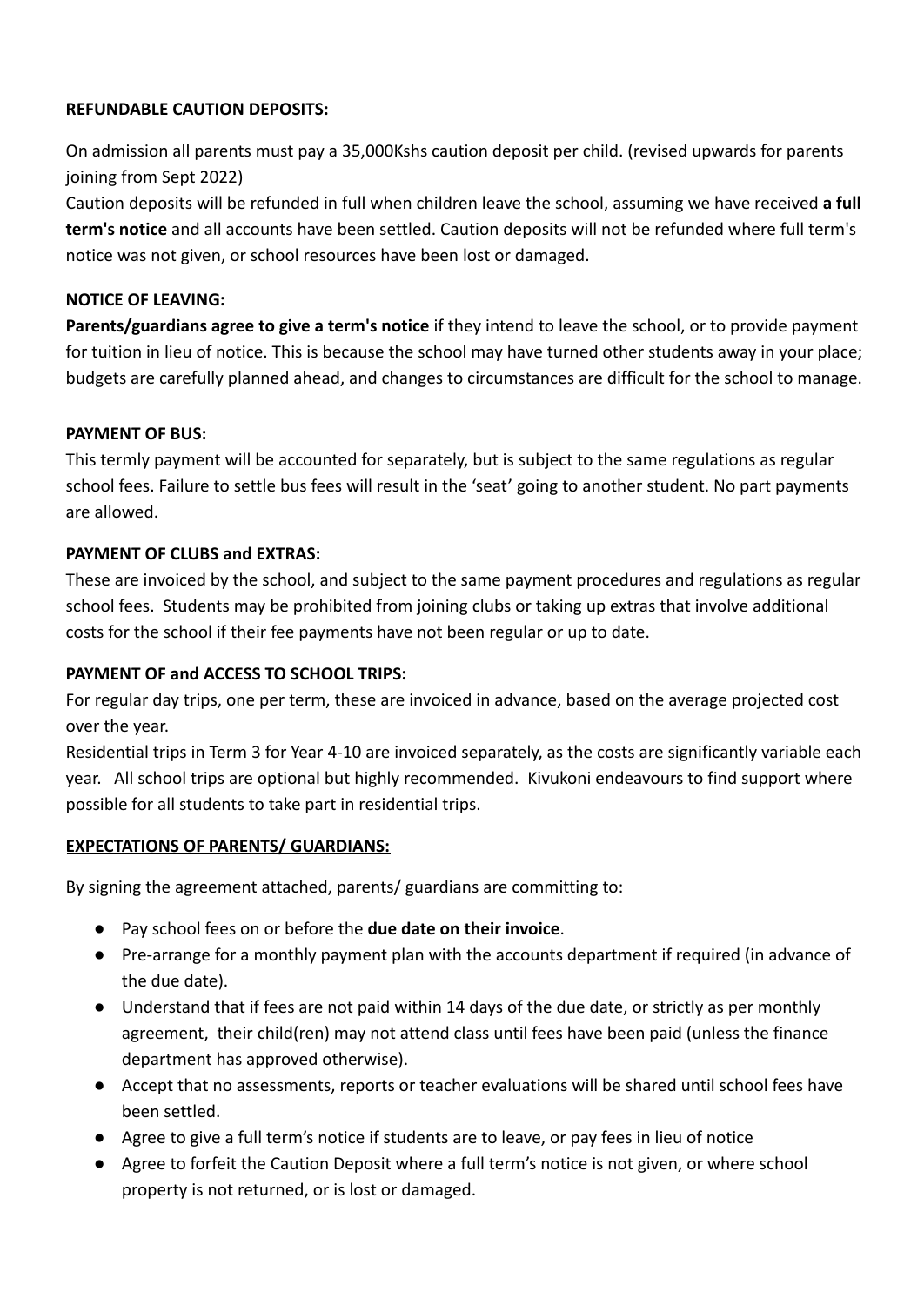#### **REFUNDABLE CAUTION DEPOSITS:**

On admission all parents must pay a 35,000Kshs caution deposit per child. (revised upwards for parents joining from Sept 2022)

Caution deposits will be refunded in full when children leave the school, assuming we have received **a full term's notice** and all accounts have been settled. Caution deposits will not be refunded where full term's notice was not given, or school resources have been lost or damaged.

#### **NOTICE OF LEAVING:**

**Parents/guardians agree to give a term's notice** if they intend to leave the school, or to provide payment for tuition in lieu of notice. This is because the school may have turned other students away in your place; budgets are carefully planned ahead, and changes to circumstances are difficult for the school to manage.

#### **PAYMENT OF BUS:**

This termly payment will be accounted for separately, but is subject to the same regulations as regular school fees. Failure to settle bus fees will result in the 'seat' going to another student. No part payments are allowed.

#### **PAYMENT OF CLUBS and EXTRAS:**

These are invoiced by the school, and subject to the same payment procedures and regulations as regular school fees. Students may be prohibited from joining clubs or taking up extras that involve additional costs for the school if their fee payments have not been regular or up to date.

#### **PAYMENT OF and ACCESS TO SCHOOL TRIPS:**

For regular day trips, one per term, these are invoiced in advance, based on the average projected cost over the year.

Residential trips in Term 3 for Year 4-10 are invoiced separately, as the costs are significantly variable each year. All school trips are optional but highly recommended. Kivukoni endeavours to find support where possible for all students to take part in residential trips.

#### **EXPECTATIONS OF PARENTS/ GUARDIANS:**

By signing the agreement attached, parents/ guardians are committing to:

- Pay school fees on or before the **due date on their invoice**.
- Pre-arrange for a monthly payment plan with the accounts department if required (in advance of the due date).
- Understand that if fees are not paid within 14 days of the due date, or strictly as per monthly agreement, their child(ren) may not attend class until fees have been paid (unless the finance department has approved otherwise).
- Accept that no assessments, reports or teacher evaluations will be shared until school fees have been settled.
- Agree to give a full term's notice if students are to leave, or pay fees in lieu of notice
- Agree to forfeit the Caution Deposit where a full term's notice is not given, or where school property is not returned, or is lost or damaged.